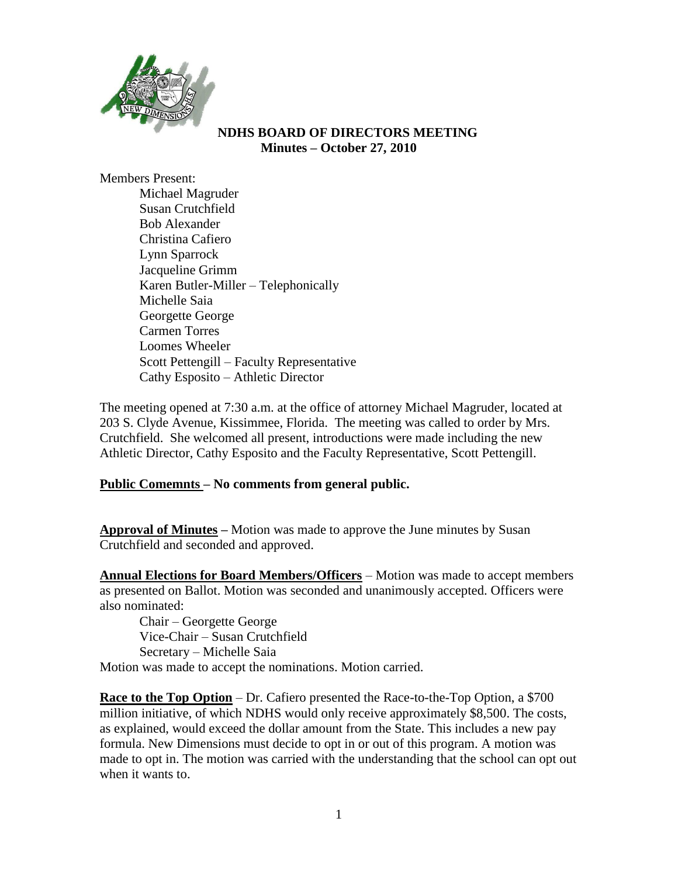

### **NDHS BOARD OF DIRECTORS MEETING Minutes – October 27, 2010**

Members Present:

Michael Magruder Susan Crutchfield Bob Alexander Christina Cafiero Lynn Sparrock Jacqueline Grimm Karen Butler-Miller – Telephonically Michelle Saia Georgette George Carmen Torres Loomes Wheeler Scott Pettengill – Faculty Representative Cathy Esposito – Athletic Director

The meeting opened at 7:30 a.m. at the office of attorney Michael Magruder, located at 203 S. Clyde Avenue, Kissimmee, Florida. The meeting was called to order by Mrs. Crutchfield. She welcomed all present, introductions were made including the new Athletic Director, Cathy Esposito and the Faculty Representative, Scott Pettengill.

## **Public Comemnts – No comments from general public.**

**Approval of Minutes –** Motion was made to approve the June minutes by Susan Crutchfield and seconded and approved.

**Annual Elections for Board Members/Officers** – Motion was made to accept members as presented on Ballot. Motion was seconded and unanimously accepted. Officers were also nominated:

Chair – Georgette George Vice-Chair – Susan Crutchfield Secretary – Michelle Saia

Motion was made to accept the nominations. Motion carried.

**Race to the Top Option** – Dr. Cafiero presented the Race-to-the-Top Option, a \$700 million initiative, of which NDHS would only receive approximately \$8,500. The costs, as explained, would exceed the dollar amount from the State. This includes a new pay formula. New Dimensions must decide to opt in or out of this program. A motion was made to opt in. The motion was carried with the understanding that the school can opt out when it wants to.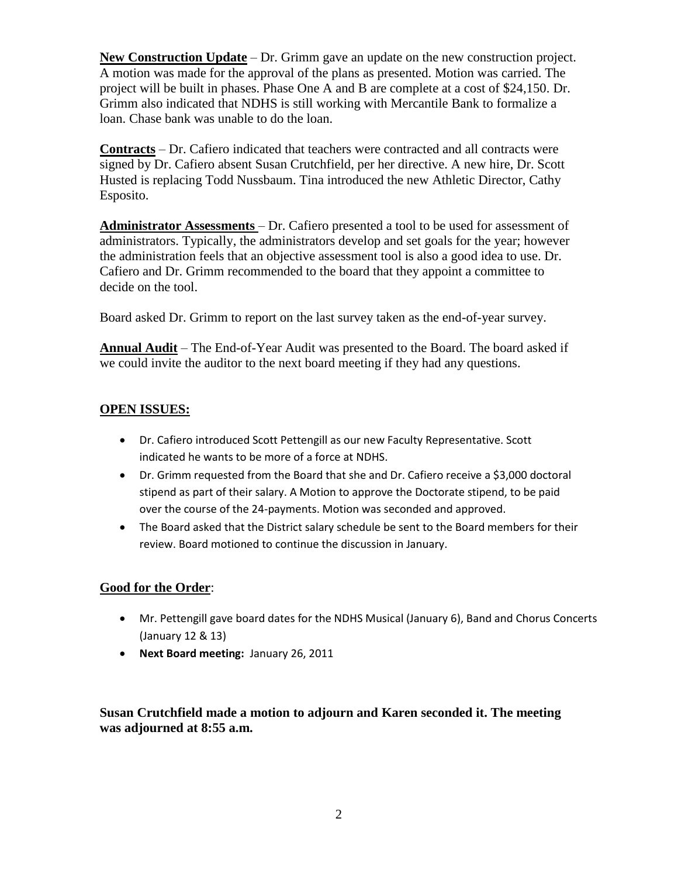**New Construction Update** – Dr. Grimm gave an update on the new construction project. A motion was made for the approval of the plans as presented. Motion was carried. The project will be built in phases. Phase One A and B are complete at a cost of \$24,150. Dr. Grimm also indicated that NDHS is still working with Mercantile Bank to formalize a loan. Chase bank was unable to do the loan.

**Contracts** – Dr. Cafiero indicated that teachers were contracted and all contracts were signed by Dr. Cafiero absent Susan Crutchfield, per her directive. A new hire, Dr. Scott Husted is replacing Todd Nussbaum. Tina introduced the new Athletic Director, Cathy Esposito.

**Administrator Assessments** – Dr. Cafiero presented a tool to be used for assessment of administrators. Typically, the administrators develop and set goals for the year; however the administration feels that an objective assessment tool is also a good idea to use. Dr. Cafiero and Dr. Grimm recommended to the board that they appoint a committee to decide on the tool.

Board asked Dr. Grimm to report on the last survey taken as the end-of-year survey.

**Annual Audit** – The End-of-Year Audit was presented to the Board. The board asked if we could invite the auditor to the next board meeting if they had any questions.

## **OPEN ISSUES:**

- Dr. Cafiero introduced Scott Pettengill as our new Faculty Representative. Scott indicated he wants to be more of a force at NDHS.
- Dr. Grimm requested from the Board that she and Dr. Cafiero receive a \$3,000 doctoral stipend as part of their salary. A Motion to approve the Doctorate stipend, to be paid over the course of the 24-payments. Motion was seconded and approved.
- The Board asked that the District salary schedule be sent to the Board members for their review. Board motioned to continue the discussion in January.

## **Good for the Order**:

- Mr. Pettengill gave board dates for the NDHS Musical (January 6), Band and Chorus Concerts (January 12 & 13)
- **Next Board meeting:** January 26, 2011

**Susan Crutchfield made a motion to adjourn and Karen seconded it. The meeting was adjourned at 8:55 a.m.**